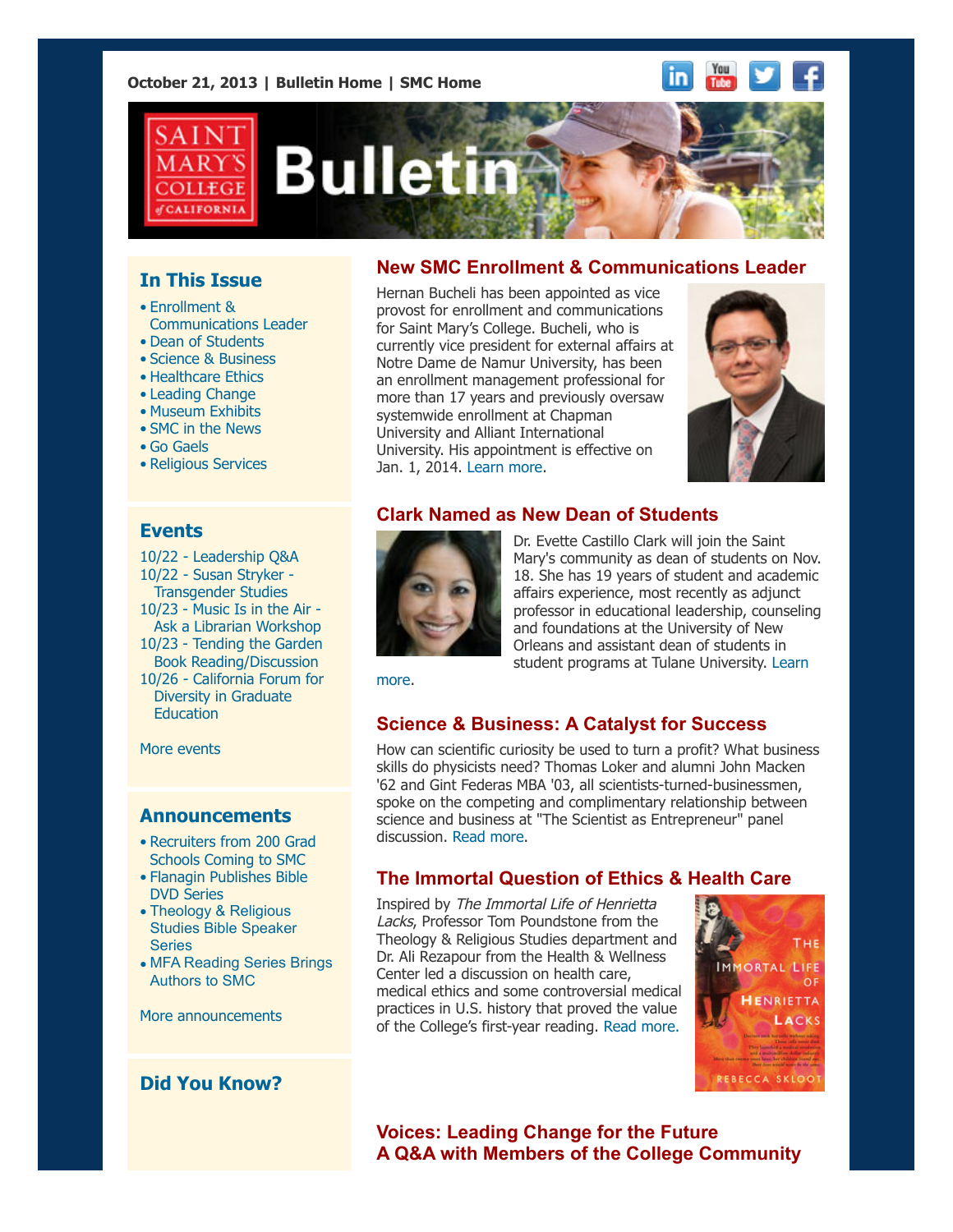#### **October 21, 2013 | [Bulletin Home](http://www.stmarys-ca.edu/smc-bulletin?utm_source=Bulletin&utm_medium=email&utm_campaign=10-21-2013) | [SMC Home](http://www.stmarys-ca.edu/?utm_source=Bulletin&utm_medium=email&utm_campaign=10-21-2013)**

#### You in. Tube



# **Bulletin**

# **In This Issue**

- Enrollment & Communications Leader
- Dean of Students
- Science & Business
- Healthcare Ethics
- Leading Change
- Museum Exhibits
- SMC in the News
- Go Gaels
- Religious Services

### **Events**

10/22 - [Leadership Q&A](http://www.stmarys-ca.edu/leadership-qa-%E2%80%93-communication-department-leadership-series-0?utm_source=Bulletin&utm_medium=email&utm_campaign=10-21-13) [10/22 - Susan Stryker -](http://www.stmarys-ca.edu/susan-stryker-transgender-studies-20-new-directions-in-the-field?utm_source=Bulletin&utm_medium=email&utm_campaign=10-21-13) Transgender Studies 10/23 - Music Is in the Air -  [Ask a Librarian Workshop](http://www.stmarys-ca.edu/music-is-in-the-air-ask-a-librarian-workshop?utm_source=Bulletin&utm_medium=email&utm_campaign=10-21-13) 10/23 - Tending the Garden  [Book Reading/Discussion](http://www.stmarys-ca.edu/tending-the-garden-book-reading-and-interactive-discussion?utm_source=Bulletin&utm_medium=email&utm_campaign=10-21-13) [10/26 - California Forum for](http://www.stmarys-ca.edu/california-forum-for-diversity-in-graduate-education?utm_source=Bulletin&utm_medium=email&utm_campaign=10-21-13) Diversity in Graduate **Education** 

[More events](http://www.stmarys-ca.edu/calendar/63?utm_source=Bulletin&utm_medium=email&utm_campaign=10-21-2013)

#### **Announcements**

- [•](file:///Users/smallalieu/Documents/StMarys/Bulletin/Bulletin_10_21_13/Bulletin_10_21_13_SENT.html#09_30_13_studentslearn) [Recruiters from 200 Grad](http://www.stmarys-ca.edu/recruiters-from-200-graduate-schools-coming-to-smc-on-october-26?utm_source=Bulletin&utm_medium=email&utm_campaign=10-21-13) Schools Coming to SMC
- [Flanagin Publishes Bible](http://www.stmarys-ca.edu/flanagin-publishes-bible-dvd-series?utm_source=Bulletin&utm_medium=email&utm_campaign=10-21-13) DVD Series
- Theology & Religious [Studies Bible Speaker](http://www.stmarys-ca.edu/theology-religious-studies-bible-speaker-series?utm_source=Bulletin&utm_medium=email&utm_campaign=10-21-13) Series
- [MFA Reading Series Brings](http://www.stmarys-ca.edu/mfa-program-brings-authors-to-saint-marys?utm_source=Bulletin&utm_medium=email&utm_campaign=10-21-13) Authors to SMC

[More announcements](http://www.stmarys-ca.edu/smc-bulletin/announcements?utm_source=Bulletin&utm_medium=email&utm_campaign=10-21-2013)

# **Did You Know?**

# **New SMC Enrollment & Communications Leader**

Hernan Bucheli has been appointed as vice provost for enrollment and communications for Saint Mary's College. Bucheli, who is currently vice president for external affairs at Notre Dame de Namur University, has been an enrollment management professional for more than 17 years and previously oversaw systemwide enrollment at Chapman University and Alliant International University. His appointment is effective on Jan. 1, 2014. [Learn more.](http://www.stmarys-ca.edu/hernan-bucheli-named-vice-provost-for-enrollment-and-communications?utm_source=Bulletin&utm_medium=email&utm_campaign=10-21-13)



# **Clark Named as New Dean of Students**



Dr. Evette Castillo Clark will join the Saint Mary's community as dean of students on Nov. 18. She has 19 years of student and academic affairs experience, most recently as adjunct professor in educational leadership, counseling and foundations at the University of New Orleans and assistant dean of students in [student programs at Tulane University. Learn](http://www.stmarys-ca.edu/dean-of-students-search?utm_source=Bulletin&utm_medium=email&utm_campaign=10-21-13)

more.

# **Science & Business: A Catalyst for Success**

How can scientific curiosity be used to turn a profit? What business skills do physicists need? Thomas Loker and alumni John Macken '62 and Gint Federas MBA '03, all scientists-turned-businessmen, spoke on the competing and complimentary relationship between science and business at "The Scientist as Entrepreneur" panel discussion. [Read more.](http://www.stmarys-ca.edu/after-mixing-science-and-business-success-is-elemental?utm_source=Bulletin&utm_medium=email&utm_campaign=10-21-13)

# **The Immortal Question of Ethics & Health Care**

Inspired by The Immortal Life of Henrietta Lacks, Professor Tom Poundstone from the Theology & Religious Studies department and Dr. Ali Rezapour from the Health & Wellness Center led a discussion on health care, medical ethics and some controversial medical practices in U.S. history that proved the value of the College's first-year reading. [Read more.](http://www.stmarys-ca.edu/the-immortal-question-of-ethics-and-health-care?utm_source=Bulletin&utm_medium=email&utm_campaign=10-21-13)



# **Voices: Leading Change for the Future A Q&A with Members of the College Community**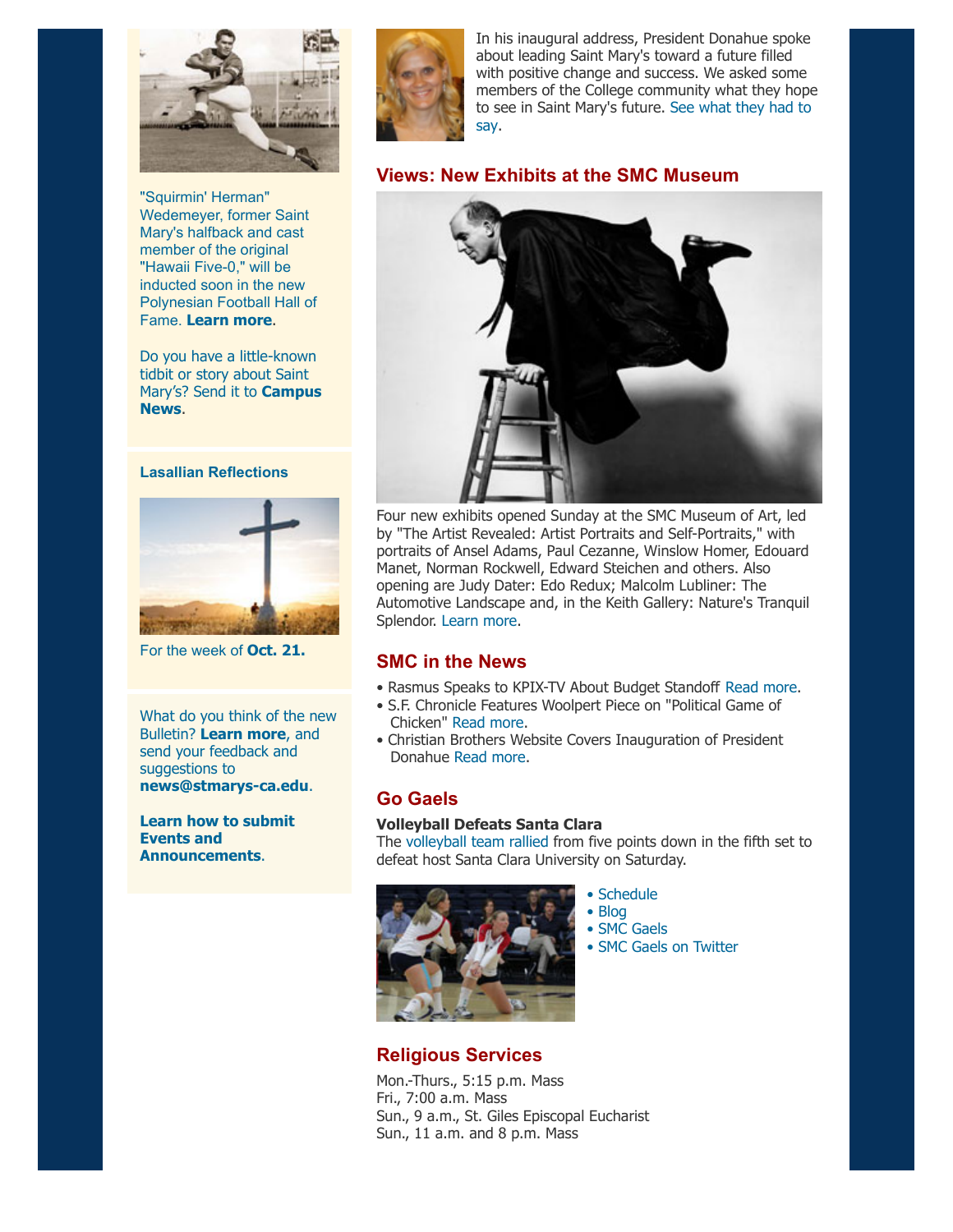

"Squirmin' Herman" Wedemeyer, former Saint Mary's halfback and cast member of the original "Hawaii Five-0," will be inducted soon in the new Polynesian Football Hall of Fame. **[Learn more](http://smcgaels.wordpress.com/2013/10/10/4364/?DB_LANG=C&DB_OEM_ID=21400)**.

Do you have a little-known tidbit or story about Saint [Mary's? Send it to](mailto:news@stmarys-ca.edu) **Campus News**.

#### **Lasallian Reflections**



For the week of **[Oct. 21.](http://www.stmarys-ca.edu/living-lasallian/lasallian-reflections?utm_source=Bulletin&utm_medium=email&utm_campaign=10-21-2013)**

What do you think of the new Bulletin? **[Learn more](http://www.stmarys-ca.edu/smcs-new-campus-newsletter-launches?utm_source=Bulletin&utm_medium=email&utm_campaign=10-07-2013)**, and send your feedback and suggestions to **[news@stmarys-ca.edu](mailto:news@stmarys-ca.edu)**.

**[Learn how to submit](http://www.stmarys-ca.edu/smc-bulletin/faqs?utm_source=Bulletin&utm_medium=email&utm_campaign=10-21-2013) Events and Announcements**.



In his inaugural address, President Donahue spoke about leading Saint Mary's toward a future filled with positive change and success. We asked some members of the College community what they hope [to see in Saint Mary's future.](http://www.stmarys-ca.edu/leading-change-for-the-future-a-qa-with-members-of-the-college-community?utm_source=Bulletin&utm_medium=email&utm_campaign=10-21-13) See what they had to say.

#### **Views: New Exhibits at the SMC Museum**



Four new exhibits opened Sunday at the SMC Museum of Art, led by "The Artist Revealed: Artist Portraits and Self-Portraits," with portraits of Ansel Adams, Paul Cezanne, Winslow Homer, Edouard Manet, Norman Rockwell, Edward Steichen and others. Also opening are Judy Dater: Edo Redux; Malcolm Lubliner: The Automotive Landscape and, in the Keith Gallery: Nature's Tranquil Splendor. [Learn more](http://www.stmarys-ca.edu/saint-marys-college-museum-of-art/exhibitions-and-collections/upcoming-exhibitions?utm_source=Bulletin&utm_medium=email&utm_campaign=10-21-13).

#### **SMC in the News**

- Rasmus Speaks to KPIX-TV About Budget Standoff [Read more](http://www.stmarys-ca.edu/cbs-5-kpix-tv-interviews-political-economist-jack-rasmus-about-government-shutdown-deal?utm_source=Bulletin&utm_medium=email&utm_campaign=10-21-13).
- S.F. Chronicle Features Woolpert Piece on "Political Game of Chicken" [Read more.](http://www.stmarys-ca.edu/san-francisco-chronicle-features-oped-on-government-shutdown-deal-by-smcs-steve-woolpert?utm_source=Bulletin&utm_medium=email&utm_campaign=10-21-13)
- Christian Brothers Website Covers Inauguration of President Donahue [Read more.](http://www.stmarys-ca.edu/christian-brothers-conference-website-covers-inauguration-of-president-donahue?utm_source=Bulletin&utm_medium=email&utm_campaign=10-21-13)

### **Go Gaels**

#### **Volleyball Defeats Santa Clara**

The [volleyball team rallied](http://www.smcgaels.com/ViewArticle.dbml?DB_LANG=C&DB_OEM_ID=21400&ATCLID=209287545) from five points down in the fifth set to defeat host Santa Clara University on Saturday.



#### • [Schedule](http://www.smcgaels.com/main/Schedule.dbml)

- • [Blog](http://smcgaels.wordpress.com/)
- • [SMC Gaels](http://www.smcgaels.com/)

• [SMC Gaels on Twitter](https://twitter.com/smcgaels)

#### **Religious Services**

Mon.-Thurs., 5:15 p.m. Mass Fri., 7:00 a.m. Mass Sun., 9 a.m., St. Giles Episcopal Eucharist Sun., 11 a.m. and 8 p.m. Mass